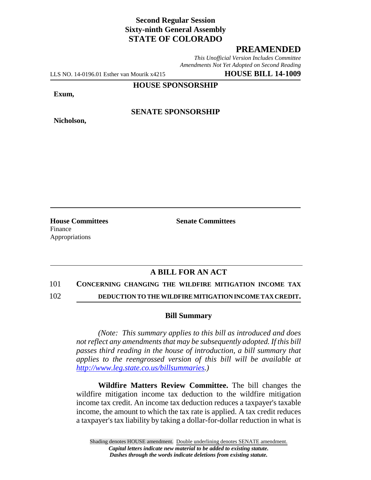## **Second Regular Session Sixty-ninth General Assembly STATE OF COLORADO**

## **PREAMENDED**

*This Unofficial Version Includes Committee Amendments Not Yet Adopted on Second Reading*

LLS NO. 14-0196.01 Esther van Mourik x4215 **HOUSE BILL 14-1009**

**HOUSE SPONSORSHIP**

**Exum,**

**Nicholson,**

**SENATE SPONSORSHIP**

**House Committees Senate Committees** Finance Appropriations

# **A BILL FOR AN ACT**

### 101 **CONCERNING CHANGING THE WILDFIRE MITIGATION INCOME TAX**

102 **DEDUCTION TO THE WILDFIRE MITIGATION INCOME TAX CREDIT.**

#### **Bill Summary**

*(Note: This summary applies to this bill as introduced and does not reflect any amendments that may be subsequently adopted. If this bill passes third reading in the house of introduction, a bill summary that applies to the reengrossed version of this bill will be available at http://www.leg.state.co.us/billsummaries.)*

**Wildfire Matters Review Committee.** The bill changes the wildfire mitigation income tax deduction to the wildfire mitigation income tax credit. An income tax deduction reduces a taxpayer's taxable income, the amount to which the tax rate is applied. A tax credit reduces a taxpayer's tax liability by taking a dollar-for-dollar reduction in what is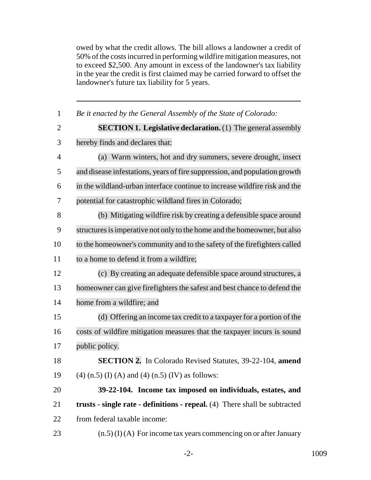owed by what the credit allows. The bill allows a landowner a credit of 50% of the costs incurred in performing wildfire mitigation measures, not to exceed \$2,500. Any amount in excess of the landowner's tax liability in the year the credit is first claimed may be carried forward to offset the landowner's future tax liability for 5 years.

| $\mathbf{1}$   | Be it enacted by the General Assembly of the State of Colorado:            |
|----------------|----------------------------------------------------------------------------|
| $\overline{2}$ | <b>SECTION 1. Legislative declaration.</b> (1) The general assembly        |
| 3              | hereby finds and declares that:                                            |
| $\overline{4}$ | (a) Warm winters, hot and dry summers, severe drought, insect              |
| 5              | and disease infestations, years of fire suppression, and population growth |
| 6              | in the wildland-urban interface continue to increase wildfire risk and the |
| 7              | potential for catastrophic wildland fires in Colorado;                     |
| 8              | (b) Mitigating wildfire risk by creating a defensible space around         |
| 9              | structures is imperative not only to the home and the homeowner, but also  |
| 10             | to the homeowner's community and to the safety of the firefighters called  |
| 11             | to a home to defend it from a wildfire;                                    |
| 12             | (c) By creating an adequate defensible space around structures, a          |
| 13             | homeowner can give firefighters the safest and best chance to defend the   |
| 14             | home from a wildfire; and                                                  |
| 15             | (d) Offering an income tax credit to a taxpayer for a portion of the       |
| 16             | costs of wildfire mitigation measures that the taxpayer incurs is sound    |
| 17             | public policy.                                                             |
| 18             | SECTION 2. In Colorado Revised Statutes, 39-22-104, amend                  |
| 19             | $(4)$ (n.5) (I) (A) and (4) (n.5) (IV) as follows:                         |
| 20             | 39-22-104. Income tax imposed on individuals, estates, and                 |
| 21             | trusts - single rate - definitions - repeal. (4) There shall be subtracted |
| 22             | from federal taxable income:                                               |
| 23             | $(n.5)$ (I) (A) For income tax years commencing on or after January        |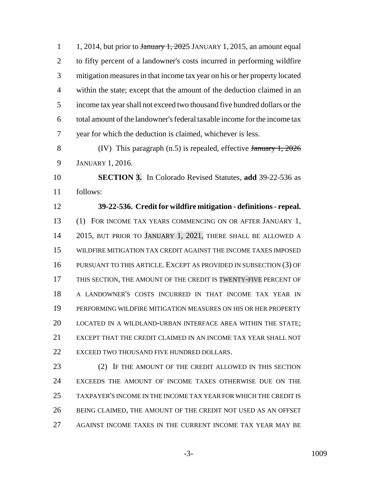1 1, 2014, but prior to  $\frac{1}{2025}$  JANUARY 1, 2015, an amount equal to fifty percent of a landowner's costs incurred in performing wildfire mitigation measures in that income tax year on his or her property located within the state; except that the amount of the deduction claimed in an income tax year shall not exceed two thousand five hundred dollars or the total amount of the landowner's federal taxable income for the income tax year for which the deduction is claimed, whichever is less.

 (IV) This paragraph (n.5) is repealed, effective January 1, 2026 JANUARY 1, 2016.

 **SECTION 3.** In Colorado Revised Statutes, **add** 39-22-536 as follows:

 **39-22-536. Credit for wildfire mitigation - definitions - repeal.** (1) FOR INCOME TAX YEARS COMMENCING ON OR AFTER JANUARY 1, 2015, BUT PRIOR TO JANUARY 1, 2021, THERE SHALL BE ALLOWED A WILDFIRE MITIGATION TAX CREDIT AGAINST THE INCOME TAXES IMPOSED PURSUANT TO THIS ARTICLE. EXCEPT AS PROVIDED IN SUBSECTION (3) OF THIS SECTION, THE AMOUNT OF THE CREDIT IS TWENTY-FIVE PERCENT OF A LANDOWNER'S COSTS INCURRED IN THAT INCOME TAX YEAR IN PERFORMING WILDFIRE MITIGATION MEASURES ON HIS OR HER PROPERTY LOCATED IN A WILDLAND-URBAN INTERFACE AREA WITHIN THE STATE; EXCEPT THAT THE CREDIT CLAIMED IN AN INCOME TAX YEAR SHALL NOT 22 EXCEED TWO THOUSAND FIVE HUNDRED DOLLARS.

 (2) IF THE AMOUNT OF THE CREDIT ALLOWED IN THIS SECTION EXCEEDS THE AMOUNT OF INCOME TAXES OTHERWISE DUE ON THE TAXPAYER'S INCOME IN THE INCOME TAX YEAR FOR WHICH THE CREDIT IS BEING CLAIMED, THE AMOUNT OF THE CREDIT NOT USED AS AN OFFSET AGAINST INCOME TAXES IN THE CURRENT INCOME TAX YEAR MAY BE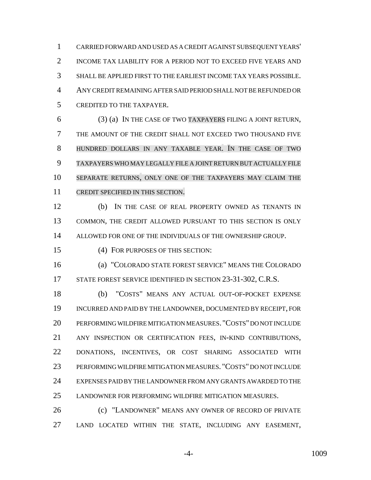CARRIED FORWARD AND USED AS A CREDIT AGAINST SUBSEQUENT YEARS' INCOME TAX LIABILITY FOR A PERIOD NOT TO EXCEED FIVE YEARS AND SHALL BE APPLIED FIRST TO THE EARLIEST INCOME TAX YEARS POSSIBLE. ANY CREDIT REMAINING AFTER SAID PERIOD SHALL NOT BE REFUNDED OR CREDITED TO THE TAXPAYER.

 (3) (a) IN THE CASE OF TWO TAXPAYERS FILING A JOINT RETURN, THE AMOUNT OF THE CREDIT SHALL NOT EXCEED TWO THOUSAND FIVE HUNDRED DOLLARS IN ANY TAXABLE YEAR. IN THE CASE OF TWO TAXPAYERS WHO MAY LEGALLY FILE A JOINT RETURN BUT ACTUALLY FILE SEPARATE RETURNS, ONLY ONE OF THE TAXPAYERS MAY CLAIM THE CREDIT SPECIFIED IN THIS SECTION.

 (b) IN THE CASE OF REAL PROPERTY OWNED AS TENANTS IN COMMON, THE CREDIT ALLOWED PURSUANT TO THIS SECTION IS ONLY ALLOWED FOR ONE OF THE INDIVIDUALS OF THE OWNERSHIP GROUP.

(4) FOR PURPOSES OF THIS SECTION:

 (a) "COLORADO STATE FOREST SERVICE" MEANS THE COLORADO 17 STATE FOREST SERVICE IDENTIFIED IN SECTION 23-31-302, C.R.S.

 (b) "COSTS" MEANS ANY ACTUAL OUT-OF-POCKET EXPENSE INCURRED AND PAID BY THE LANDOWNER, DOCUMENTED BY RECEIPT, FOR PERFORMING WILDFIRE MITIGATION MEASURES. "COSTS" DO NOT INCLUDE ANY INSPECTION OR CERTIFICATION FEES, IN-KIND CONTRIBUTIONS, DONATIONS, INCENTIVES, OR COST SHARING ASSOCIATED WITH PERFORMING WILDFIRE MITIGATION MEASURES. "COSTS" DO NOT INCLUDE EXPENSES PAID BY THE LANDOWNER FROM ANY GRANTS AWARDED TO THE LANDOWNER FOR PERFORMING WILDFIRE MITIGATION MEASURES.

**(c)** "LANDOWNER" MEANS ANY OWNER OF RECORD OF PRIVATE LAND LOCATED WITHIN THE STATE, INCLUDING ANY EASEMENT,